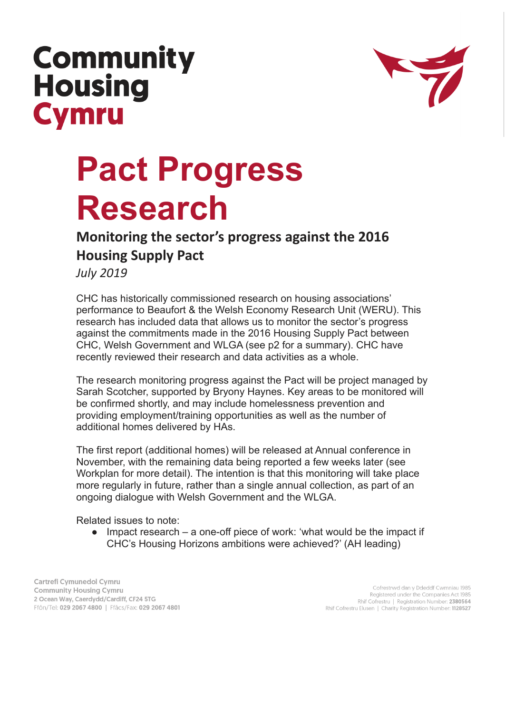## **Community Housing Cymru**



## **Pact Progress Research**

## **Monitoring the sector's progress against the 2016 Housing Supply Pact**

*July 2019*

CHC has historically commissioned research on housing associations' performance to Beaufort & the Welsh Economy Research Unit (WERU). This research has included data that allows us to monitor the sector's progress against the commitments made in the 2016 Housing Supply Pact between CHC, Welsh Government and WLGA (see p2 for a summary). CHC have recently reviewed their research and data activities as a whole.

The research monitoring progress against the Pact will be project managed by Sarah Scotcher, supported by Bryony Haynes. Key areas to be monitored will be confirmed shortly, and may include homelessness prevention and providing employment/training opportunities as well as the number of additional homes delivered by HAs.

The first report (additional homes) will be released at Annual conference in November, with the remaining data being reported a few weeks later (see Workplan for more detail). The intention is that this monitoring will take place more regularly in future, rather than a single annual collection, as part of an ongoing dialogue with Welsh Government and the WLGA.

Related issues to note:

Impact research  $-$  a one-off piece of work: 'what would be the impact if CHC's Housing Horizons ambitions were achieved?' (AH leading)

Cartrefi Cymunedol Cymru **Community Housing Cymru** 2 Ocean Way, Caerdydd/Cardiff, CF24 5TG Ffôn/Tel: 029 2067 4800 | Ffâcs/Fax: 029 2067 4801

Cofrestrwd dan y Ddeddf Cwmniau 1985 Registered under the Companies Act 1985 Rhif Cofrestru | Registration Number: 2380564 Rhif Cofrestru Elusen | Charity Registration Number: 1128527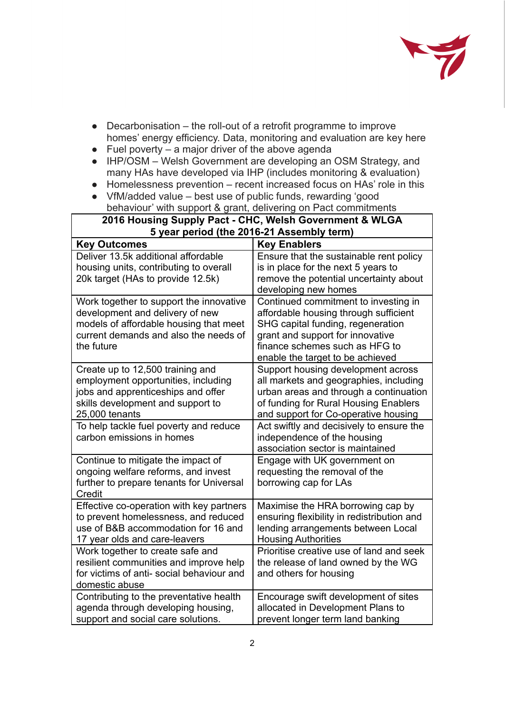

- Decarbonisation the roll-out of a retrofit programme to improve homes' energy efficiency. Data, monitoring and evaluation are key here
- $\bullet$  Fuel poverty a major driver of the above agenda
- IHP/OSM Welsh Government are developing an OSM Strategy, and many HAs have developed via IHP (includes monitoring & evaluation)
- Homelessness prevention recent increased focus on HAs' role in this
- **●** VfM/added value best use of public funds, rewarding 'good behaviour' with support & grant, delivering on Pact commitments

| 2016 Housing Supply Pact - CHC, Welsh Government & WLGA<br>5 year period (the 2016-21 Assembly term)                                                                        |                                                                                                                                                                                                                              |
|-----------------------------------------------------------------------------------------------------------------------------------------------------------------------------|------------------------------------------------------------------------------------------------------------------------------------------------------------------------------------------------------------------------------|
| <b>Key Outcomes</b>                                                                                                                                                         | <b>Key Enablers</b>                                                                                                                                                                                                          |
| Deliver 13.5k additional affordable<br>housing units, contributing to overall<br>20k target (HAs to provide 12.5k)                                                          | Ensure that the sustainable rent policy<br>is in place for the next 5 years to<br>remove the potential uncertainty about<br>developing new homes                                                                             |
| Work together to support the innovative<br>development and delivery of new<br>models of affordable housing that meet<br>current demands and also the needs of<br>the future | Continued commitment to investing in<br>affordable housing through sufficient<br>SHG capital funding, regeneration<br>grant and support for innovative<br>finance schemes such as HFG to<br>enable the target to be achieved |
| Create up to 12,500 training and<br>employment opportunities, including<br>jobs and apprenticeships and offer<br>skills development and support to<br>25,000 tenants        | Support housing development across<br>all markets and geographies, including<br>urban areas and through a continuation<br>of funding for Rural Housing Enablers<br>and support for Co-operative housing                      |
| To help tackle fuel poverty and reduce<br>carbon emissions in homes                                                                                                         | Act swiftly and decisively to ensure the<br>independence of the housing<br>association sector is maintained                                                                                                                  |
| Continue to mitigate the impact of<br>ongoing welfare reforms, and invest<br>further to prepare tenants for Universal<br>Credit                                             | Engage with UK government on<br>requesting the removal of the<br>borrowing cap for LAs                                                                                                                                       |
| Effective co-operation with key partners<br>to prevent homelessness, and reduced<br>use of B&B accommodation for 16 and<br>17 year olds and care-leavers                    | Maximise the HRA borrowing cap by<br>ensuring flexibility in redistribution and<br>lending arrangements between Local<br><b>Housing Authorities</b>                                                                          |
| Work together to create safe and<br>resilient communities and improve help<br>for victims of anti-social behaviour and<br>domestic abuse                                    | Prioritise creative use of land and seek<br>the release of land owned by the WG<br>and others for housing                                                                                                                    |
| Contributing to the preventative health<br>agenda through developing housing,<br>support and social care solutions.                                                         | Encourage swift development of sites<br>allocated in Development Plans to<br>prevent longer term land banking                                                                                                                |